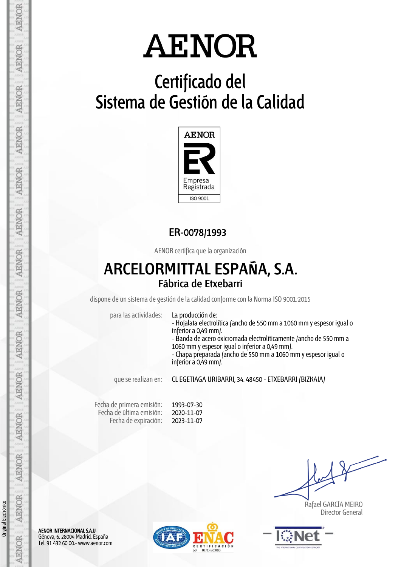## **Certificado del Sistema de Gestión de la Calidad**



### **ER-0078/1993**

AENOR certifica que la organización

## **ARCELORMITTAL ESPAÑA, S.A. Fábrica de Etxebarri**

dispone de un sistema de gestión de la calidad conforme con la Norma ISO 9001:2015

para las actividades: La producción de:

- Hojalata electrolítica (ancho de 550 mm a 1060 mm y espesor igual o inferior a 0,49 mm).

- Banda de acero oxicromada electrolíticamente (ancho de 550 mm a 1060 mm y espesor igual o inferior a 0,49 mm). - Chapa preparada (ancho de 550 mm a 1060 mm y espesor igual o

inferior a 0,49 mm).

que se realizan en: CL EGETIAGA URIBARRI, 34. 48450 - ETXEBARRI (BIZKAIA)

Fecha de primera emisión: Fecha de última emisión: Fecha de expiración:

1993-07-30 2020-11-07 2023-11-07

 Rafael GARCÍA MEIRO Director General



AENOR INTERNACIONAL S.A.U. Génova, 6. 28004 Madrid. España Tel. 91 432 60 00.- www.aenor.com



AENOR

**AENOR** 

AENOR

**AENOR** 

**AENOR** 

**AENOR** 

**AENOR** 

**AENOR** 

**AENOR** 

**AENOR** 

**AENOR** 

**AENOR** 

**AENOR** 

AENOR